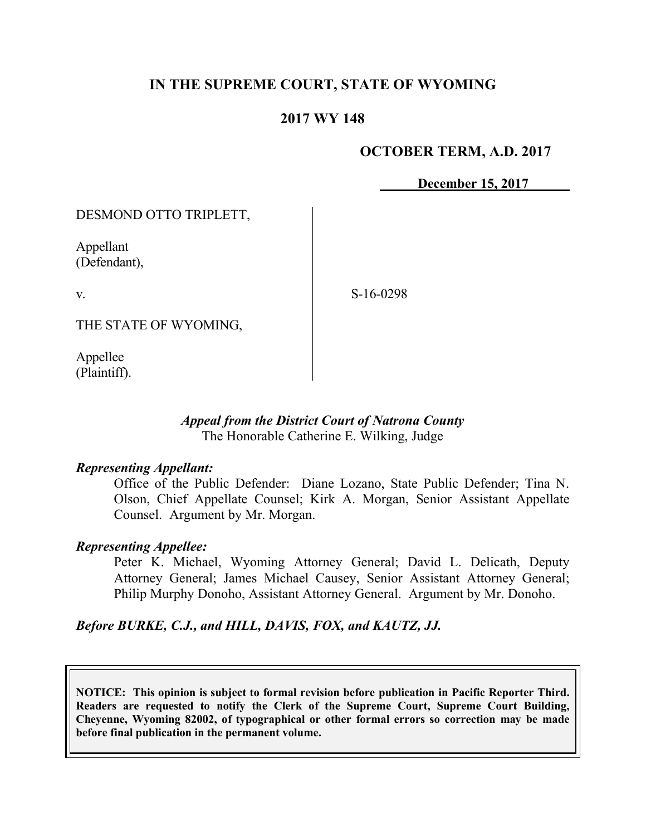## **IN THE SUPREME COURT, STATE OF WYOMING**

## **2017 WY 148**

### **OCTOBER TERM, A.D. 2017**

**December 15, 2017**

DESMOND OTTO TRIPLETT,

Appellant (Defendant),

v.

S-16-0298

THE STATE OF WYOMING,

Appellee (Plaintiff).

### *Appeal from the District Court of Natrona County* The Honorable Catherine E. Wilking, Judge

#### *Representing Appellant:*

Office of the Public Defender: Diane Lozano, State Public Defender; Tina N. Olson, Chief Appellate Counsel; Kirk A. Morgan, Senior Assistant Appellate Counsel. Argument by Mr. Morgan.

#### *Representing Appellee:*

Peter K. Michael, Wyoming Attorney General; David L. Delicath, Deputy Attorney General; James Michael Causey, Senior Assistant Attorney General; Philip Murphy Donoho, Assistant Attorney General. Argument by Mr. Donoho.

*Before BURKE, C.J., and HILL, DAVIS, FOX, and KAUTZ, JJ.*

**NOTICE: This opinion is subject to formal revision before publication in Pacific Reporter Third. Readers are requested to notify the Clerk of the Supreme Court, Supreme Court Building, Cheyenne, Wyoming 82002, of typographical or other formal errors so correction may be made before final publication in the permanent volume.**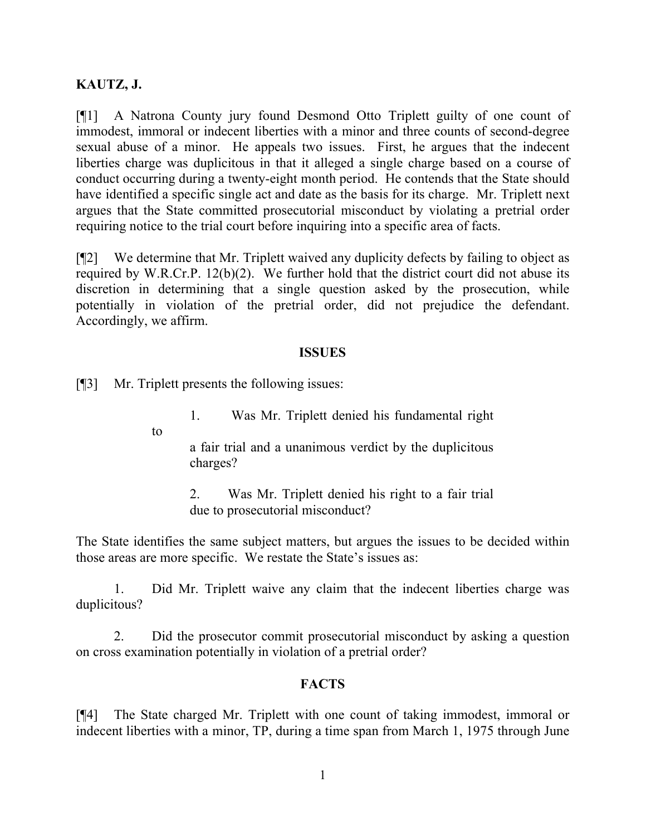## **KAUTZ, J.**

[¶1] A Natrona County jury found Desmond Otto Triplett guilty of one count of immodest, immoral or indecent liberties with a minor and three counts of second-degree sexual abuse of a minor. He appeals two issues. First, he argues that the indecent liberties charge was duplicitous in that it alleged a single charge based on a course of conduct occurring during a twenty-eight month period. He contends that the State should have identified a specific single act and date as the basis for its charge. Mr. Triplett next argues that the State committed prosecutorial misconduct by violating a pretrial order requiring notice to the trial court before inquiring into a specific area of facts.

[¶2] We determine that Mr. Triplett waived any duplicity defects by failing to object as required by W.R.Cr.P. 12(b)(2). We further hold that the district court did not abuse its discretion in determining that a single question asked by the prosecution, while potentially in violation of the pretrial order, did not prejudice the defendant. Accordingly, we affirm.

#### **ISSUES**

[¶3] Mr. Triplett presents the following issues:

1. Was Mr. Triplett denied his fundamental right

to

a fair trial and a unanimous verdict by the duplicitous charges?

2. Was Mr. Triplett denied his right to a fair trial due to prosecutorial misconduct?

The State identifies the same subject matters, but argues the issues to be decided within those areas are more specific. We restate the State's issues as:

1. Did Mr. Triplett waive any claim that the indecent liberties charge was duplicitous?

2. Did the prosecutor commit prosecutorial misconduct by asking a question on cross examination potentially in violation of a pretrial order?

### **FACTS**

[¶4] The State charged Mr. Triplett with one count of taking immodest, immoral or indecent liberties with a minor, TP, during a time span from March 1, 1975 through June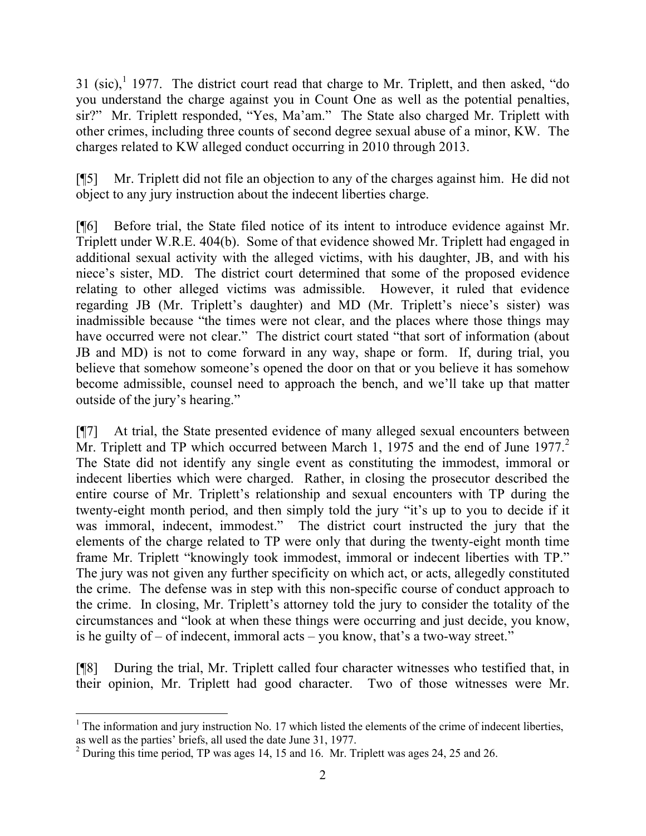31 (sic), $1$  1977. The district court read that charge to Mr. Triplett, and then asked, "do you understand the charge against you in Count One as well as the potential penalties, sir?" Mr. Triplett responded, "Yes, Ma'am." The State also charged Mr. Triplett with other crimes, including three counts of second degree sexual abuse of a minor, KW. The charges related to KW alleged conduct occurring in 2010 through 2013.

[¶5] Mr. Triplett did not file an objection to any of the charges against him. He did not object to any jury instruction about the indecent liberties charge.

[¶6] Before trial, the State filed notice of its intent to introduce evidence against Mr. Triplett under W.R.E. 404(b). Some of that evidence showed Mr. Triplett had engaged in additional sexual activity with the alleged victims, with his daughter, JB, and with his niece's sister, MD. The district court determined that some of the proposed evidence relating to other alleged victims was admissible. However, it ruled that evidence regarding JB (Mr. Triplett's daughter) and MD (Mr. Triplett's niece's sister) was inadmissible because "the times were not clear, and the places where those things may have occurred were not clear." The district court stated "that sort of information (about JB and MD) is not to come forward in any way, shape or form. If, during trial, you believe that somehow someone's opened the door on that or you believe it has somehow become admissible, counsel need to approach the bench, and we'll take up that matter outside of the jury's hearing."

[¶7] At trial, the State presented evidence of many alleged sexual encounters between Mr. Triplett and TP which occurred between March 1, 1975 and the end of June 1977.<sup>2</sup> The State did not identify any single event as constituting the immodest, immoral or indecent liberties which were charged. Rather, in closing the prosecutor described the entire course of Mr. Triplett's relationship and sexual encounters with TP during the twenty-eight month period, and then simply told the jury "it's up to you to decide if it was immoral, indecent, immodest." The district court instructed the jury that the elements of the charge related to TP were only that during the twenty-eight month time frame Mr. Triplett "knowingly took immodest, immoral or indecent liberties with TP." The jury was not given any further specificity on which act, or acts, allegedly constituted the crime. The defense was in step with this non-specific course of conduct approach to the crime. In closing, Mr. Triplett's attorney told the jury to consider the totality of the circumstances and "look at when these things were occurring and just decide, you know, is he guilty of – of indecent, immoral acts – you know, that's a two-way street."

[¶8] During the trial, Mr. Triplett called four character witnesses who testified that, in their opinion, Mr. Triplett had good character. Two of those witnesses were Mr.

l

 $1$  The information and jury instruction No. 17 which listed the elements of the crime of indecent liberties, as well as the parties' briefs, all used the date June 31, 1977.

<sup>&</sup>lt;sup>2</sup> During this time period, TP was ages 14, 15 and 16. Mr. Triplett was ages 24, 25 and 26.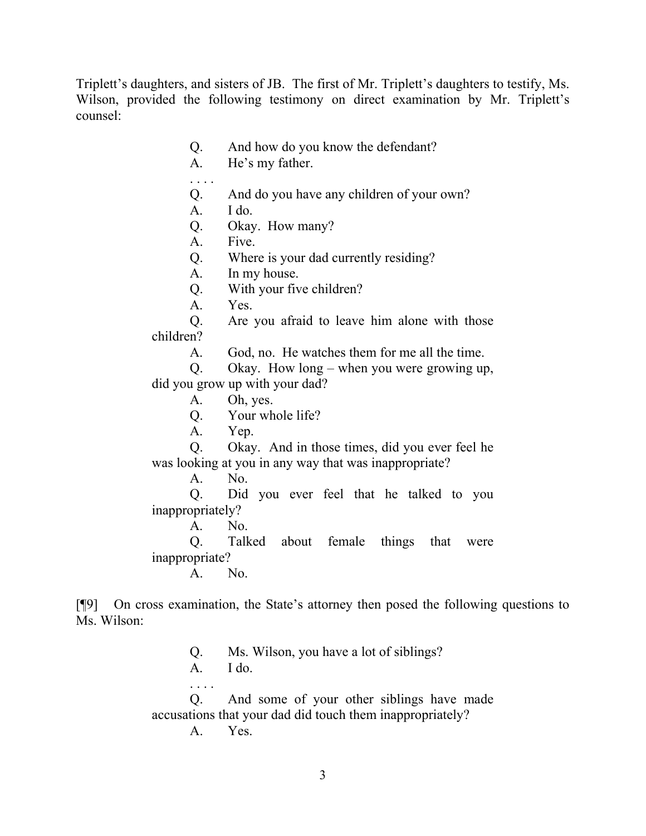Triplett's daughters, and sisters of JB. The first of Mr. Triplett's daughters to testify, Ms. Wilson, provided the following testimony on direct examination by Mr. Triplett's counsel:

- Q. And how do you know the defendant?
- A. He's my father.
- Q. And do you have any children of your own?
- A. I do.

. . . .

- Q. Okay. How many?
- A. Five.
- Q. Where is your dad currently residing?
- A. In my house.
- Q. With your five children?
- A. Yes.

Q. Are you afraid to leave him alone with those children?

A. God, no. He watches them for me all the time.

Q. Okay. How long – when you were growing up, did you grow up with your dad?

- A. Oh, yes.
- Q. Your whole life?
- A. Yep.

Q. Okay. And in those times, did you ever feel he was looking at you in any way that was inappropriate?

A. No.

Q. Did you ever feel that he talked to you inappropriately?

A. No.

Q. Talked about female things that were inappropriate?

A. No.

[¶9] On cross examination, the State's attorney then posed the following questions to Ms. Wilson:

Q. Ms. Wilson, you have a lot of siblings?

 $A.$  I do.

. . . .

Q. And some of your other siblings have made accusations that your dad did touch them inappropriately?

A. Yes.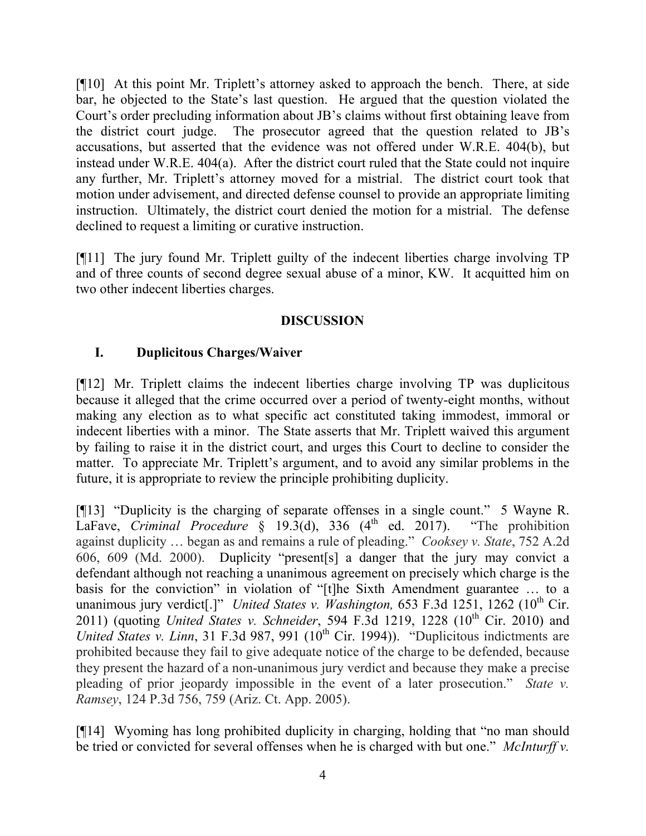[¶10] At this point Mr. Triplett's attorney asked to approach the bench. There, at side bar, he objected to the State's last question. He argued that the question violated the Court's order precluding information about JB's claims without first obtaining leave from the district court judge. The prosecutor agreed that the question related to JB's accusations, but asserted that the evidence was not offered under W.R.E. 404(b), but instead under W.R.E. 404(a). After the district court ruled that the State could not inquire any further, Mr. Triplett's attorney moved for a mistrial. The district court took that motion under advisement, and directed defense counsel to provide an appropriate limiting instruction. Ultimately, the district court denied the motion for a mistrial. The defense declined to request a limiting or curative instruction.

[¶11] The jury found Mr. Triplett guilty of the indecent liberties charge involving TP and of three counts of second degree sexual abuse of a minor, KW. It acquitted him on two other indecent liberties charges.

## **DISCUSSION**

# **I. Duplicitous Charges/Waiver**

[¶12] Mr. Triplett claims the indecent liberties charge involving TP was duplicitous because it alleged that the crime occurred over a period of twenty-eight months, without making any election as to what specific act constituted taking immodest, immoral or indecent liberties with a minor. The State asserts that Mr. Triplett waived this argument by failing to raise it in the district court, and urges this Court to decline to consider the matter. To appreciate Mr. Triplett's argument, and to avoid any similar problems in the future, it is appropriate to review the principle prohibiting duplicity.

[¶13] "Duplicity is the charging of separate offenses in a single count." 5 Wayne R. LaFave, *Criminal Procedure* § 19.3(d), 336 (4<sup>th</sup> ed. 2017). "The prohibition against duplicity … began as and remains a rule of pleading." *Cooksey v. State*, 752 A.2d 606, 609 (Md. 2000). Duplicity "present[s] a danger that the jury may convict a defendant although not reaching a unanimous agreement on precisely which charge is the basis for the conviction" in violation of "[t]he Sixth Amendment guarantee … to a unanimous jury verdict[.]" *United States v. Washington,* 653 F.3d 1251, 1262 (10<sup>th</sup> Cir. 2011) (quoting *United States v. Schneider*, 594 F.3d 1219, 1228 (10<sup>th</sup> Cir. 2010) and *United States v. Linn*, 31 F.3d 987, 991 (10<sup>th</sup> Cir. 1994)). "Duplicitous indictments are prohibited because they fail to give adequate notice of the charge to be defended, because they present the hazard of a non-unanimous jury verdict and because they make a precise pleading of prior jeopardy impossible in the event of a later prosecution." *State v. Ramsey*, 124 P.3d 756, 759 (Ariz. Ct. App. 2005).

[¶14] Wyoming has long prohibited duplicity in charging, holding that "no man should be tried or convicted for several offenses when he is charged with but one." *McInturff v.*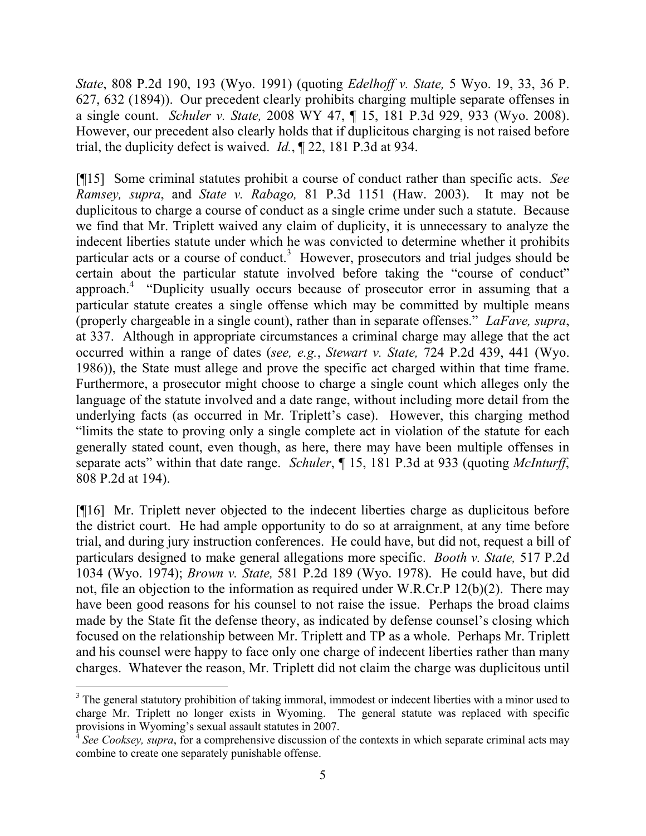*State*, 808 P.2d 190, 193 (Wyo. 1991) (quoting *Edelhoff v. State,* 5 Wyo. 19, 33, 36 P. 627, 632 (1894)). Our precedent clearly prohibits charging multiple separate offenses in a single count. *Schuler v. State,* 2008 WY 47, ¶ 15, 181 P.3d 929, 933 (Wyo. 2008). However, our precedent also clearly holds that if duplicitous charging is not raised before trial, the duplicity defect is waived. *Id.*, ¶ 22, 181 P.3d at 934.

[¶15] Some criminal statutes prohibit a course of conduct rather than specific acts. *See Ramsey, supra*, and *State v. Rabago,* 81 P.3d 1151 (Haw. 2003). It may not be duplicitous to charge a course of conduct as a single crime under such a statute. Because we find that Mr. Triplett waived any claim of duplicity, it is unnecessary to analyze the indecent liberties statute under which he was convicted to determine whether it prohibits particular acts or a course of conduct.<sup>3</sup> However, prosecutors and trial judges should be certain about the particular statute involved before taking the "course of conduct" approach.<sup>4</sup> "Duplicity usually occurs because of prosecutor error in assuming that a particular statute creates a single offense which may be committed by multiple means (properly chargeable in a single count), rather than in separate offenses." *LaFave, supra*, at 337. Although in appropriate circumstances a criminal charge may allege that the act occurred within a range of dates (*see, e.g.*, *Stewart v. State,* 724 P.2d 439, 441 (Wyo. 1986)), the State must allege and prove the specific act charged within that time frame. Furthermore, a prosecutor might choose to charge a single count which alleges only the language of the statute involved and a date range, without including more detail from the underlying facts (as occurred in Mr. Triplett's case). However, this charging method "limits the state to proving only a single complete act in violation of the statute for each generally stated count, even though, as here, there may have been multiple offenses in separate acts" within that date range. *Schuler*, ¶ 15, 181 P.3d at 933 (quoting *McInturff*, 808 P.2d at 194).

[¶16] Mr. Triplett never objected to the indecent liberties charge as duplicitous before the district court. He had ample opportunity to do so at arraignment, at any time before trial, and during jury instruction conferences. He could have, but did not, request a bill of particulars designed to make general allegations more specific. *Booth v. State,* 517 P.2d 1034 (Wyo. 1974); *Brown v. State,* 581 P.2d 189 (Wyo. 1978). He could have, but did not, file an objection to the information as required under W.R.Cr.P 12(b)(2). There may have been good reasons for his counsel to not raise the issue. Perhaps the broad claims made by the State fit the defense theory, as indicated by defense counsel's closing which focused on the relationship between Mr. Triplett and TP as a whole. Perhaps Mr. Triplett and his counsel were happy to face only one charge of indecent liberties rather than many charges. Whatever the reason, Mr. Triplett did not claim the charge was duplicitous until

 $\overline{a}$ 

<sup>&</sup>lt;sup>3</sup> The general statutory prohibition of taking immoral, immodest or indecent liberties with a minor used to charge Mr. Triplett no longer exists in Wyoming. The general statute was replaced with specific provisions in Wyoming's sexual assault statutes in 2007.

 $\mathbf{\overline{4}}$ *See Cooksey, supra*, for a comprehensive discussion of the contexts in which separate criminal acts may combine to create one separately punishable offense.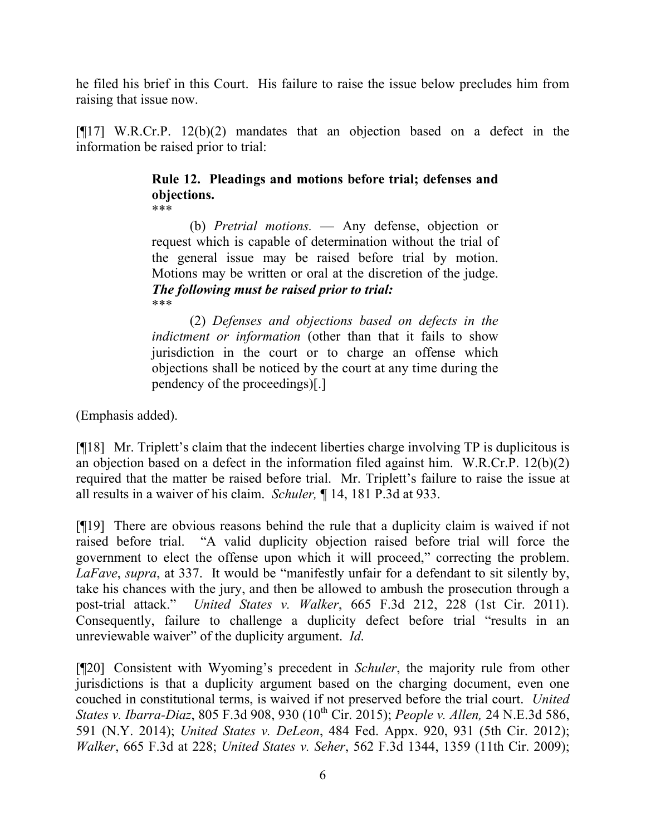he filed his brief in this Court. His failure to raise the issue below precludes him from raising that issue now.

 $[$ [[17] W.R.Cr.P. 12(b)(2) mandates that an objection based on a defect in the information be raised prior to trial:

#### **Rule 12. Pleadings and motions before trial; defenses and objections.** \*\*\*

(b) *Pretrial motions.* — Any defense, objection or request which is capable of determination without the trial of the general issue may be raised before trial by motion. Motions may be written or oral at the discretion of the judge. *The following must be raised prior to trial:* \*\*\*

(2) *Defenses and objections based on defects in the indictment or information* (other than that it fails to show jurisdiction in the court or to charge an offense which objections shall be noticed by the court at any time during the pendency of the proceedings)[.]

(Emphasis added).

[¶18] Mr. Triplett's claim that the indecent liberties charge involving TP is duplicitous is an objection based on a defect in the information filed against him. W.R.Cr.P. 12(b)(2) required that the matter be raised before trial. Mr. Triplett's failure to raise the issue at all results in a waiver of his claim. *Schuler,* ¶ 14, 181 P.3d at 933.

[¶19] There are obvious reasons behind the rule that a duplicity claim is waived if not raised before trial. "A valid duplicity objection raised before trial will force the government to elect the offense upon which it will proceed," correcting the problem. *LaFave*, *supra*, at 337. It would be "manifestly unfair for a defendant to sit silently by, take his chances with the jury, and then be allowed to ambush the prosecution through a post-trial attack." *United States v. Walker*, 665 F.3d 212, 228 (1st Cir. 2011). Consequently, failure to challenge a duplicity defect before trial "results in an unreviewable waiver" of the duplicity argument. *Id*.

[¶20] Consistent with Wyoming's precedent in *Schuler*, the majority rule from other jurisdictions is that a duplicity argument based on the charging document, even one couched in constitutional terms, is waived if not preserved before the trial court. *United States v. Ibarra-Diaz*, 805 F.3d 908, 930 (10<sup>th</sup> Cir. 2015); *People v. Allen,* 24 N.E.3d 586, 591 (N.Y. 2014); *United States v. DeLeon*, 484 Fed. Appx. 920, 931 (5th Cir. 2012); *Walker*, 665 F.3d at 228; *United States v. Seher*, 562 F.3d 1344, 1359 (11th Cir. 2009);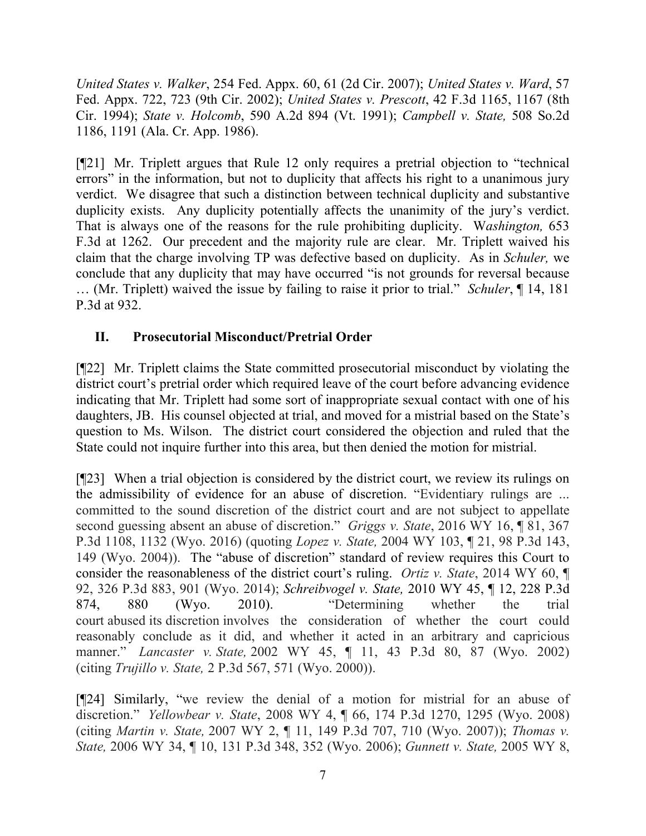*United States v. Walker*, 254 Fed. Appx. 60, 61 (2d Cir. 2007); *United States v. Ward*, 57 Fed. Appx. 722, 723 (9th Cir. 2002); *United States v. Prescott*, 42 F.3d 1165, 1167 (8th Cir. 1994); *State v. Holcomb*, 590 A.2d 894 (Vt. 1991); *Campbell v. State,* 508 So.2d 1186, 1191 (Ala. Cr. App. 1986).

[¶21] Mr. Triplett argues that Rule 12 only requires a pretrial objection to "technical errors" in the information, but not to duplicity that affects his right to a unanimous jury verdict. We disagree that such a distinction between technical duplicity and substantive duplicity exists. Any duplicity potentially affects the unanimity of the jury's verdict. That is always one of the reasons for the rule prohibiting duplicity. W*ashington,* 653 F.3d at 1262. Our precedent and the majority rule are clear. Mr. Triplett waived his claim that the charge involving TP was defective based on duplicity. As in *Schuler,* we conclude that any duplicity that may have occurred "is not grounds for reversal because … (Mr. Triplett) waived the issue by failing to raise it prior to trial." *Schuler*, ¶ 14, 181 P.3d at 932.

# **II. Prosecutorial Misconduct/Pretrial Order**

[¶22] Mr. Triplett claims the State committed prosecutorial misconduct by violating the district court's pretrial order which required leave of the court before advancing evidence indicating that Mr. Triplett had some sort of inappropriate sexual contact with one of his daughters, JB. His counsel objected at trial, and moved for a mistrial based on the State's question to Ms. Wilson. The district court considered the objection and ruled that the State could not inquire further into this area, but then denied the motion for mistrial.

[¶23] When a trial objection is considered by the district court, we review its rulings on the admissibility of evidence for an abuse of discretion. "Evidentiary rulings are ... committed to the sound discretion of the district court and are not subject to appellate second guessing absent an abuse of discretion." *Griggs v. State*, 2016 WY 16, ¶ 81, 367 P.3d 1108, 1132 (Wyo. 2016) (quoting *Lopez v. State,* 2004 WY 103, ¶ 21, 98 P.3d 143, 149 (Wyo. 2004)). The "abuse of discretion" standard of review requires this Court to consider the reasonableness of the district court's ruling. *Ortiz v. State*, 2014 WY 60, ¶ 92, 326 P.3d 883, 901 (Wyo. 2014); *Schreibvogel v. State,* 2010 WY 45, ¶ 12, 228 P.3d 874, 880 (Wyo. 2010). "Determining whether the trial court abused its discretion involves the consideration of whether the court could reasonably conclude as it did, and whether it acted in an arbitrary and capricious manner." *Lancaster v. State,* 2002 WY 45, ¶ 11, 43 P.3d 80, 87 (Wyo. 2002) (citing *Trujillo v. State,* 2 P.3d 567, 571 (Wyo. 2000)).

[¶24] Similarly, "we review the denial of a motion for mistrial for an abuse of discretion." *Yellowbear v. State*, 2008 WY 4, ¶ 66, 174 P.3d 1270, 1295 (Wyo. 2008) (citing *Martin v. State,* 2007 WY 2, ¶ 11, 149 P.3d 707, 710 (Wyo. 2007)); *Thomas v. State,* 2006 WY 34, ¶ 10, 131 P.3d 348, 352 (Wyo. 2006); *Gunnett v. State,* 2005 WY 8,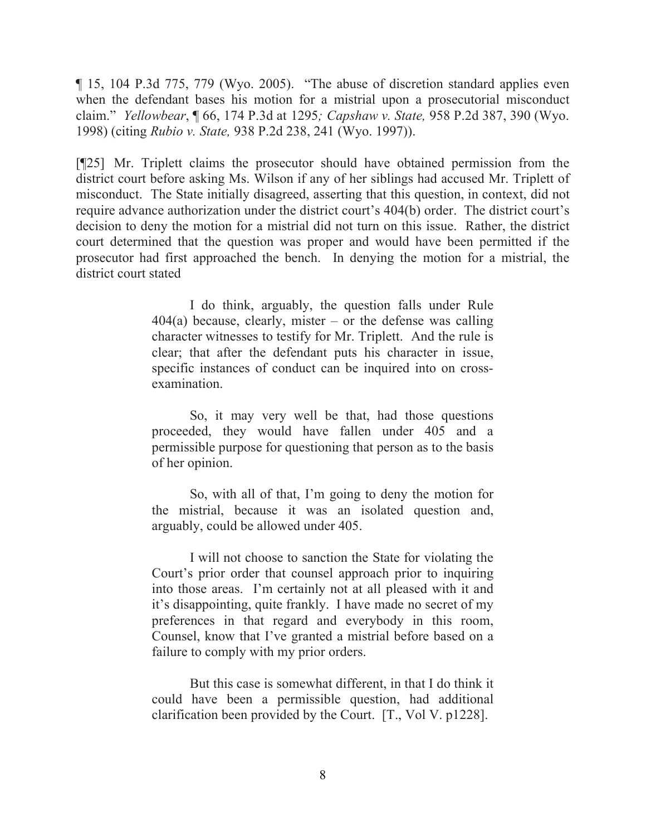¶ 15, 104 P.3d 775, 779 (Wyo. 2005). "The abuse of discretion standard applies even when the defendant bases his motion for a mistrial upon a prosecutorial misconduct claim." *Yellowbear*, ¶ 66, 174 P.3d at 1295*; Capshaw v. State,* 958 P.2d 387, 390 (Wyo. 1998) (citing *Rubio v. State,* 938 P.2d 238, 241 (Wyo. 1997)).

[¶25] Mr. Triplett claims the prosecutor should have obtained permission from the district court before asking Ms. Wilson if any of her siblings had accused Mr. Triplett of misconduct. The State initially disagreed, asserting that this question, in context, did not require advance authorization under the district court's 404(b) order. The district court's decision to deny the motion for a mistrial did not turn on this issue. Rather, the district court determined that the question was proper and would have been permitted if the prosecutor had first approached the bench. In denying the motion for a mistrial, the district court stated

> I do think, arguably, the question falls under Rule  $404(a)$  because, clearly, mister – or the defense was calling character witnesses to testify for Mr. Triplett. And the rule is clear; that after the defendant puts his character in issue, specific instances of conduct can be inquired into on crossexamination.

> So, it may very well be that, had those questions proceeded, they would have fallen under 405 and a permissible purpose for questioning that person as to the basis of her opinion.

> So, with all of that, I'm going to deny the motion for the mistrial, because it was an isolated question and, arguably, could be allowed under 405.

> I will not choose to sanction the State for violating the Court's prior order that counsel approach prior to inquiring into those areas. I'm certainly not at all pleased with it and it's disappointing, quite frankly. I have made no secret of my preferences in that regard and everybody in this room, Counsel, know that I've granted a mistrial before based on a failure to comply with my prior orders.

> But this case is somewhat different, in that I do think it could have been a permissible question, had additional clarification been provided by the Court. [T., Vol V. p1228].